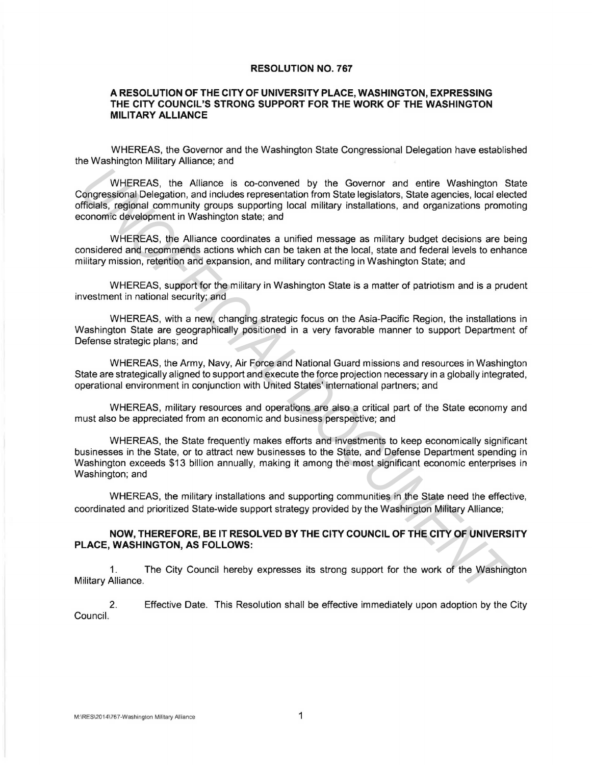## **RESOLUTION NO. 767**

## **A RESOLUTION OF THE CITY OF UNIVERSITY PLACE, WASHINGTON, EXPRESSING THE CITY COUNCIL'S STRONG SUPPORT FOR THE WORK OF THE WASHINGTON MILITARY ALLIANCE**

WHEREAS, the Governor and the Washington State Congressional Delegation have established the Washington Military Alliance; and

WHEREAS, the Alliance is co-convened by the Governor and entire Washington State Congressional Delegation, and includes representation from State legislators, State agencies, local elected officials, regional community groups supporting local military installations, and organizations promoting economic development in Washington state; and WHEREAS, the Alliance is co-convened by the Governor and entire Washington Songressional Delegation, and includes representation from State legislators, State agencies, local eleis from State legislators, State agencies, l

WHEREAS, the Alliance coordinates a unified message as military budget decisions are being considered and recommends actions which can be taken at the local, state and federal levels to enhance military mission, retention and expansion, and military contracting in Washington State; and

WHEREAS, support for the military in Washington State is a matter of patriotism and is a prudent investment in national security; and

WHEREAS, with a new, changing strategic focus on the Asia-Pacific Region, the installations in Washington State are geographically positioned in a very favorable manner to support Department of Defense strategic plans; and

WHEREAS, the Army, Navy, Air Force and National Guard missions and resources in Washington State are strategically aligned to support and execute the force projection necessary in a globally integrated, operational environment in conjunction with United States' international partners; and

WHEREAS, military resources and operations are also a critical part of the State economy and must also be appreciated from an economic and business perspective; and

WHEREAS, the State frequently makes efforts and investments to keep economically significant businesses in the State, or to attract new businesses to the State, and Defense Department spending in Washington exceeds \$13 billion annually, making it among the most significant economic enterprises in Washington; and

WHEREAS, the military installations and supporting communities in the State need the effective, coordinated and prioritized State-wide support strategy provided by the Washington Military Alliance;

## **NOW, THEREFORE, BE IT RESOLVED BY THE CITY COUNCIL OF THE CITY OF UNIVERSITY PLACE, WASHINGTON, AS FOLLOWS:**

1. The City Council hereby expresses its strong support for the work of the Washington Military Alliance.

2. Effective Date. This Resolution shall be effective immediately upon adoption by the City Council.